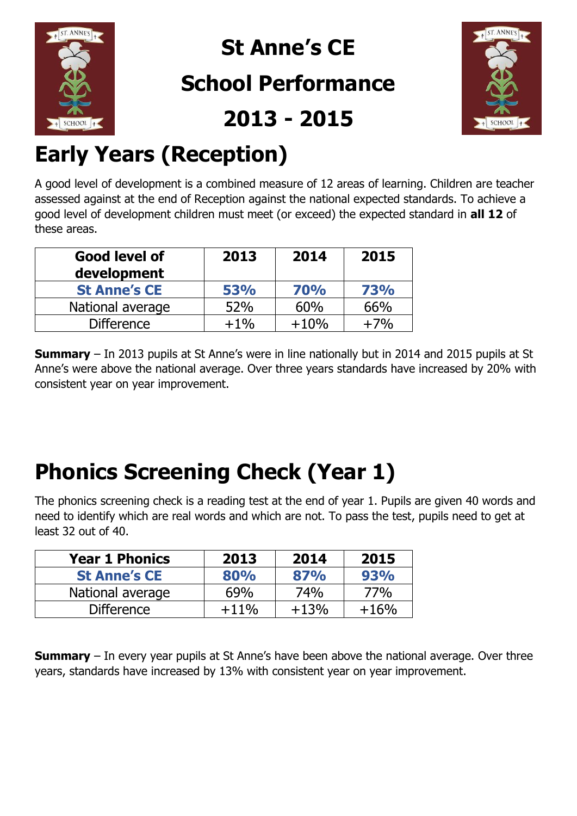

## **St Anne's CE**

#### **School Performance**

**2013 - 2015**



## **Early Years (Reception)**

A good level of development is a combined measure of 12 areas of learning. Children are teacher assessed against at the end of Reception against the national expected standards. To achieve a good level of development children must meet (or exceed) the expected standard in **all 12** of these areas.

| Good level of<br>development | 2013       | 2014       | 2015  |
|------------------------------|------------|------------|-------|
| <b>St Anne's CE</b>          | <b>53%</b> | <b>70%</b> | 73%   |
| National average             | 52%        | 60%        | 66%   |
| <b>Difference</b>            | $+1\%$     | $+10%$     | $+7%$ |

**Summary** – In 2013 pupils at St Anne's were in line nationally but in 2014 and 2015 pupils at St Anne's were above the national average. Over three years standards have increased by 20% with consistent year on year improvement.

### **Phonics Screening Check (Year 1)**

The phonics screening check is a reading test at the end of year 1. Pupils are given 40 words and need to identify which are real words and which are not. To pass the test, pupils need to get at least 32 out of 40.

| <b>Year 1 Phonics</b> | 2013    | 2014   | 2015   |
|-----------------------|---------|--------|--------|
| <b>St Anne's CE</b>   | 80%     | 87%    | 93%    |
| National average      | 69%     | 74%    | 77%    |
| <b>Difference</b>     | $+11\%$ | $+13%$ | $+16%$ |

**Summary** – In every year pupils at St Anne's have been above the national average. Over three years, standards have increased by 13% with consistent year on year improvement.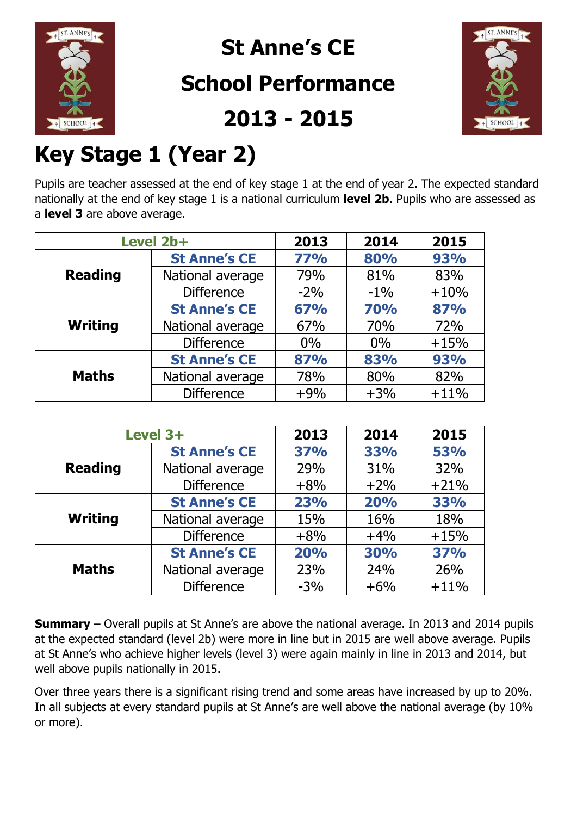

**St Anne's CE** 

#### **School Performance**





### **Key Stage 1 (Year 2)**

Pupils are teacher assessed at the end of key stage 1 at the end of year 2. The expected standard nationally at the end of key stage 1 is a national curriculum **level 2b**. Pupils who are assessed as a **level 3** are above average.

| Level 2b+      |                                   | 2013  | 2014       | 2015   |
|----------------|-----------------------------------|-------|------------|--------|
|                | <b>St Anne's CE</b><br><b>77%</b> |       | 80%        | 93%    |
| <b>Reading</b> | National average                  | 79%   | 81%        | 83%    |
|                | <b>Difference</b>                 | $-2%$ | $-1\%$     | $+10%$ |
| <b>Writing</b> | <b>St Anne's CE</b>               | 67%   | <b>70%</b> | 87%    |
|                | National average                  | 67%   | 70%        | 72%    |
|                | <b>Difference</b>                 | $0\%$ | $0\%$      | $+15%$ |
|                | <b>St Anne's CE</b>               | 87%   | 83%        | 93%    |
| <b>Maths</b>   | National average                  | 78%   | 80%        | 82%    |
|                | <b>Difference</b>                 | $+9%$ | $+3%$      | $+11%$ |

|                | Level 3+                          |            | 2014       | 2015       |
|----------------|-----------------------------------|------------|------------|------------|
|                | <b>37%</b><br><b>St Anne's CE</b> |            | <b>33%</b> | <b>53%</b> |
| <b>Reading</b> | National average                  | 29%        | 31%        | 32%        |
|                | <b>Difference</b>                 | $+8%$      | $+2%$      | $+21%$     |
|                | <b>St Anne's CE</b><br>23%        |            | 20%        | 33%        |
| <b>Writing</b> | National average                  | 15%        | 16%        | 18%        |
|                | <b>Difference</b>                 | $+8%$      | $+4%$      | $+15%$     |
|                | <b>St Anne's CE</b>               | <b>20%</b> | <b>30%</b> | <b>37%</b> |
| <b>Maths</b>   | National average                  | 23%        | 24%        | 26%        |
|                | <b>Difference</b>                 | $-3%$      | $+6%$      | $+11%$     |

**Summary** – Overall pupils at St Anne's are above the national average. In 2013 and 2014 pupils at the expected standard (level 2b) were more in line but in 2015 are well above average. Pupils at St Anne's who achieve higher levels (level 3) were again mainly in line in 2013 and 2014, but well above pupils nationally in 2015.

Over three years there is a significant rising trend and some areas have increased by up to 20%. In all subjects at every standard pupils at St Anne's are well above the national average (by 10% or more).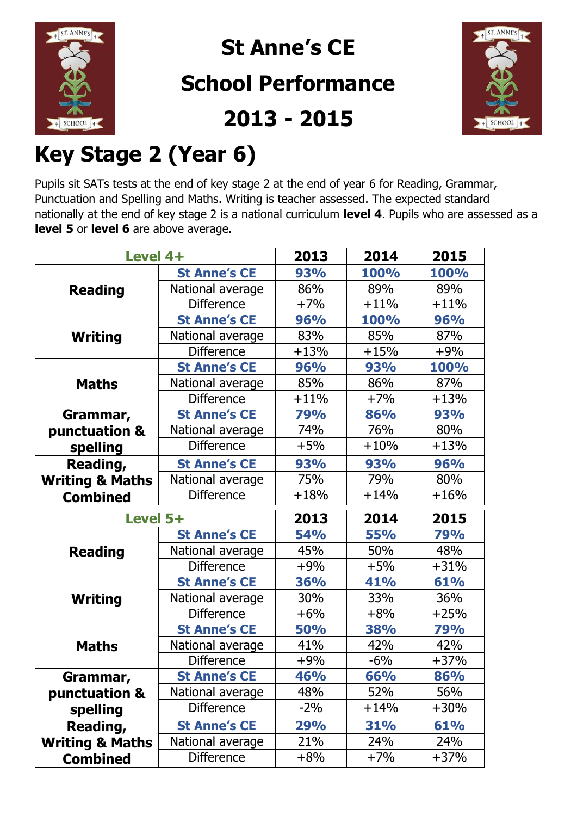

## **St Anne's CE**

#### **School Performance**





## **Key Stage 2 (Year 6)**

Pupils sit SATs tests at the end of key stage 2 at the end of year 6 for Reading, Grammar, Punctuation and Spelling and Maths. Writing is teacher assessed. The expected standard nationally at the end of key stage 2 is a national curriculum **level 4**. Pupils who are assessed as a **level 5** or **level 6** are above average.

| Level 4+                             |                             | 2013              | 2014        | 2015        |
|--------------------------------------|-----------------------------|-------------------|-------------|-------------|
|                                      | <b>St Anne's CE</b>         | 93%               | <b>100%</b> | <b>100%</b> |
| <b>Reading</b>                       | National average            | 86%               | 89%         | 89%         |
|                                      | <b>Difference</b><br>$+7%$  |                   | $+11%$      | $+11%$      |
|                                      | <b>St Anne's CE</b>         | <b>96%</b>        | 100%        | <b>96%</b>  |
| <b>Writing</b>                       | National average            | 83%               | 85%         | 87%         |
|                                      | <b>Difference</b><br>$+13%$ |                   | $+15%$      | $+9%$       |
|                                      | <b>St Anne's CE</b>         | 93%<br><b>96%</b> |             | 100%        |
| <b>Maths</b>                         | National average<br>85%     |                   | 86%         | 87%         |
|                                      | <b>Difference</b>           | $+11%$            | $+7%$       | $+13%$      |
| Grammar,                             | <b>St Anne's CE</b>         | 79%               | 86%         | <b>93%</b>  |
| punctuation &                        | National average            | 74%               | 76%         | 80%         |
| spelling                             | <b>Difference</b>           | $+5%$             | $+10%$      | $+13%$      |
| Reading,                             | <b>St Anne's CE</b>         | <b>93%</b>        | <b>93%</b>  | <b>96%</b>  |
| <b>Writing &amp; Maths</b>           | 75%<br>National average     |                   | 79%         | 80%         |
| <b>Difference</b><br><b>Combined</b> |                             | $+18%$            | $+14%$      | $+16%$      |
|                                      |                             |                   |             |             |
| Level 5+                             |                             | 2013              | 2014        | 2015        |
|                                      | <b>St Anne's CE</b>         | <b>54%</b>        | <b>55%</b>  | <b>79%</b>  |
| <b>Reading</b>                       | National average            | 45%               | 50%         | 48%         |
|                                      | <b>Difference</b>           | $+9%$             | $+5%$       | $+31%$      |
|                                      | <b>St Anne's CE</b>         | <b>36%</b>        | 41%         | 61%         |
| <b>Writing</b>                       | National average            | 30%               | 33%         | 36%         |
|                                      | <b>Difference</b>           | $+6%$             | $+8%$       | $+25%$      |
|                                      | <b>St Anne's CE</b>         | <b>50%</b>        | <b>38%</b>  | 79%         |
| <b>Maths</b>                         | National average            | 41%               | 42%         | 42%         |
|                                      | <b>Difference</b>           | $+9%$             | $-6%$       | $+37%$      |
| Grammar,                             | <b>St Anne's CE</b>         | 46%               | 66%         | 86%         |
| punctuation &                        | National average            | 48%               | 52%         | 56%         |
| spelling                             | <b>Difference</b>           | $-2\%$            | $+14%$      | $+30%$      |
| Reading,                             | <b>St Anne's CE</b>         | 29%               | 31%         | 61%         |
| <b>Writing &amp; Maths</b>           | National average            | 21%               | 24%         | 24%         |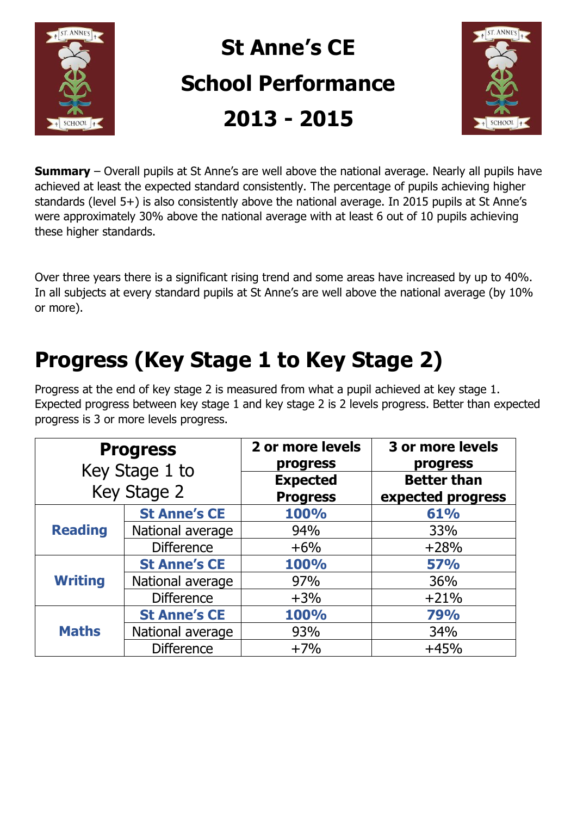

# **St Anne's CE School Performance 2013 - 2015**



**Summary** – Overall pupils at St Anne's are well above the national average. Nearly all pupils have achieved at least the expected standard consistently. The percentage of pupils achieving higher standards (level 5+) is also consistently above the national average. In 2015 pupils at St Anne's were approximately 30% above the national average with at least 6 out of 10 pupils achieving these higher standards.

Over three years there is a significant rising trend and some areas have increased by up to 40%. In all subjects at every standard pupils at St Anne's are well above the national average (by 10% or more).

#### **Progress (Key Stage 1 to Key Stage 2)**

Progress at the end of key stage 2 is measured from what a pupil achieved at key stage 1. Expected progress between key stage 1 and key stage 2 is 2 levels progress. Better than expected progress is 3 or more levels progress.

|                | <b>Progress</b><br>Key Stage 1 to<br>Key Stage 2 | 2 or more levels<br>progress<br><b>Expected</b><br><b>Progress</b> | 3 or more levels<br>progress<br><b>Better than</b><br>expected progress |
|----------------|--------------------------------------------------|--------------------------------------------------------------------|-------------------------------------------------------------------------|
|                | <b>St Anne's CE</b>                              | 100%                                                               | 61%                                                                     |
| <b>Reading</b> | National average                                 | 94%                                                                | 33%                                                                     |
|                | <b>Difference</b>                                | $+6%$                                                              | $+28%$                                                                  |
|                | <b>St Anne's CE</b>                              | 100%                                                               | <b>57%</b>                                                              |
| <b>Writing</b> | National average                                 | 97%                                                                | 36%                                                                     |
|                | <b>Difference</b>                                | $+3%$                                                              | $+21%$                                                                  |
| <b>Maths</b>   | <b>St Anne's CE</b>                              | 100%                                                               | <b>79%</b>                                                              |
|                | National average                                 | 93%                                                                | 34%                                                                     |
|                | <b>Difference</b>                                | $+7%$                                                              | $+45%$                                                                  |